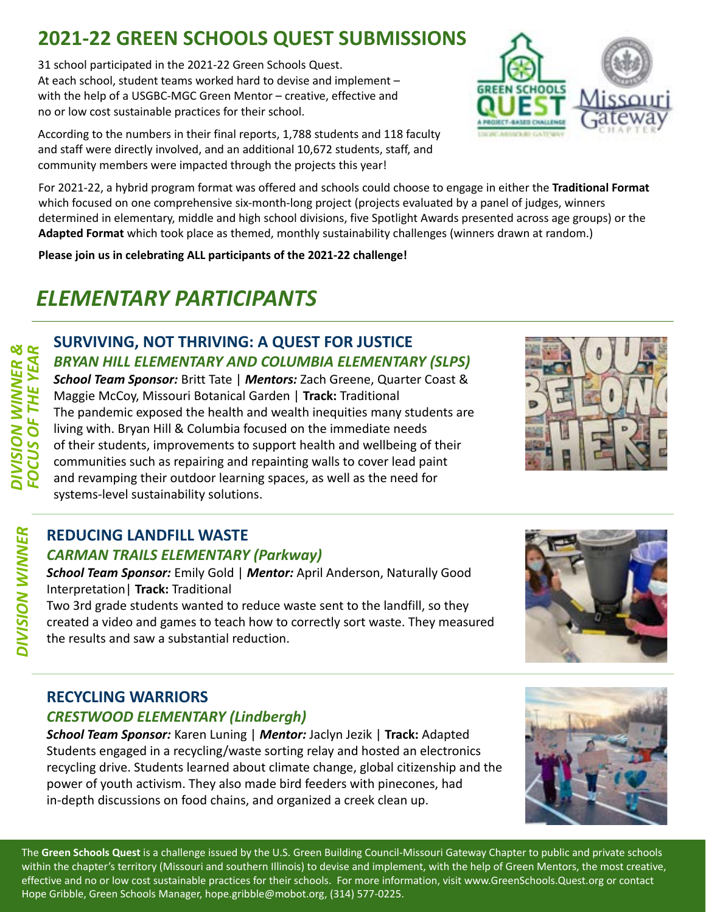# **2021-22 GREEN SCHOOLS QUEST SUBMISSIONS**

31 school participated in the 2021-22 Green Schools Quest. At each school, student teams worked hard to devise and implement – with the help of a USGBC-MGC Green Mentor – creative, effective and no or low cost sustainable practices for their school.

According to the numbers in their final reports, 1,788 students and 118 faculty and staff were directly involved, and an additional 10,672 students, staff, and community members were impacted through the projects this year!

For 2021-22, a hybrid program format was offered and schools could choose to engage in either the **Traditional Format** which focused on one comprehensive six-month-long project (projects evaluated by a panel of judges, winners determined in elementary, middle and high school divisions, five Spotlight Awards presented across age groups) or the **Adapted Format** which took place as themed, monthly sustainability challenges (winners drawn at random.)

**Please join us in celebrating ALL participants of the 2021-22 challenge!**

# *ELEMENTARY PARTICIPANTS*

## **SURVIVING, NOT THRIVING: A QUEST FOR JUSTICE** *BRYAN HILL ELEMENTARY AND COLUMBIA ELEMENTARY (SLPS)*

*FOCUS OF THE YEAR School Team Sponsor:* Britt Tate | *Mentors:* Zach Greene, Quarter Coast & Maggie McCoy, Missouri Botanical Garden | **Track:** Traditional The pandemic exposed the health and wealth inequities many students are living with. Bryan Hill & Columbia focused on the immediate needs of their students, improvements to support health and wellbeing of their communities such as repairing and repainting walls to cover lead paint and revamping their outdoor learning spaces, as well as the need for systems-level sustainability solutions.

#### **REDUCING LANDFILL WASTE** *CARMAN TRAILS ELEMENTARY (Parkway)*

*DIVISION WINNER &*

**DIVISION WINNER &<br>FOCUS OF THE YEAR** 

*DIVISION WINNER*

**DIVISION WINNER** 

*School Team Sponsor:* Emily Gold | *Mentor:* April Anderson, Naturally Good Interpretation| **Track:** Traditional

Two 3rd grade students wanted to reduce waste sent to the landfill, so they created a video and games to teach how to correctly sort waste. They measured the results and saw a substantial reduction.

# **RECYCLING WARRIORS**

#### *CRESTWOOD ELEMENTARY (Lindbergh)*

*School Team Sponsor:* Karen Luning | *Mentor:* Jaclyn Jezik | **Track:** Adapted Students engaged in a recycling/waste sorting relay and hosted an electronics recycling drive. Students learned about climate change, global citizenship and the power of youth activism. They also made bird feeders with pinecones, had in-depth discussions on food chains, and organized a creek clean up.

The **Green Schools Quest** is a challenge issued by the U.S. Green Building Council-Missouri Gateway Chapter to public and private schools within the chapter's territory (Missouri and southern Illinois) to devise and implement, with the help of Green Mentors, the most creative, effective and no or low cost sustainable practices for their schools. For more information, visit www.GreenSchools.Quest.org or contact Hope Gribble, Green Schools Manager, [hope.gribble@mobot.org](mailto:hope.gribble@mobot.org), (314) 577-0225.







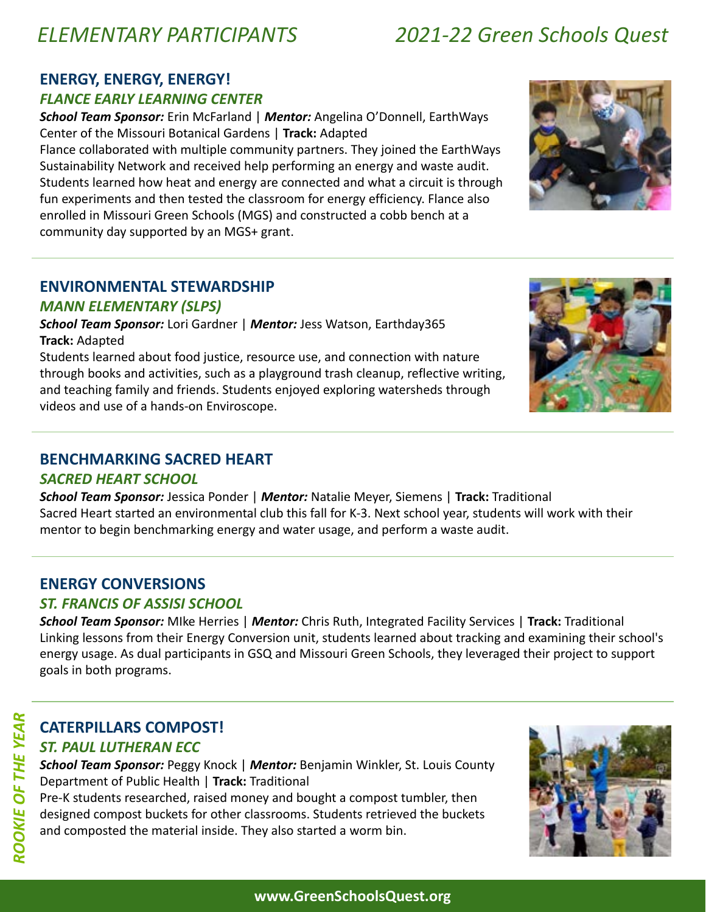# *ELEMENTARY PARTICIPANTS 2021-22 Green Schools Quest*

#### **ENERGY, ENERGY, ENERGY!**

#### *FLANCE EARLY LEARNING CENTER*

*School Team Sponsor:* Erin McFarland | *Mentor:* Angelina O'Donnell, EarthWays Center of the Missouri Botanical Gardens | **Track:** Adapted

Flance collaborated with multiple community partners. They joined the EarthWays Sustainability Network and received help performing an energy and waste audit. Students learned how heat and energy are connected and what a circuit is through fun experiments and then tested the classroom for energy efficiency. Flance also enrolled in Missouri Green Schools (MGS) and constructed a cobb bench at a community day supported by an MGS+ grant.

#### **ENVIRONMENTAL STEWARDSHIP**

#### *MANN ELEMENTARY (SLPS)*

*School Team Sponsor:* Lori Gardner | *Mentor:* Jess Watson, Earthday365 **Track:** Adapted

Students learned about food justice, resource use, and connection with nature through books and activities, such as a playground trash cleanup, reflective writing, and teaching family and friends. Students enjoyed exploring watersheds through videos and use of a hands-on Enviroscope.

#### **BENCHMARKING SACRED HEART**

#### *SACRED HEART SCHOOL*

*School Team Sponsor:* Jessica Ponder | *Mentor:* Natalie Meyer, Siemens | **Track:** Traditional Sacred Heart started an environmental club this fall for K-3. Next school year, students will work with their mentor to begin benchmarking energy and water usage, and perform a waste audit.

#### **ENERGY CONVERSIONS**

#### *ST. FRANCIS OF ASSISI SCHOOL*

*School Team Sponsor:* MIke Herries | *Mentor:* Chris Ruth, Integrated Facility Services | **Track:** Traditional Linking lessons from their Energy Conversion unit, students learned about tracking and examining their school's energy usage. As dual participants in GSQ and Missouri Green Schools, they leveraged their project to support goals in both programs.

#### **CATERPILLARS COMPOST!** *ST. PAUL LUTHERAN ECC*

*School Team Sponsor:* Peggy Knock | *Mentor:* Benjamin Winkler, St. Louis County Department of Public Health | **Track:** Traditional

Pre-K students researched, raised money and bought a compost tumbler, then designed compost buckets for other classrooms. Students retrieved the buckets and composted the material inside. They also started a worm bin.





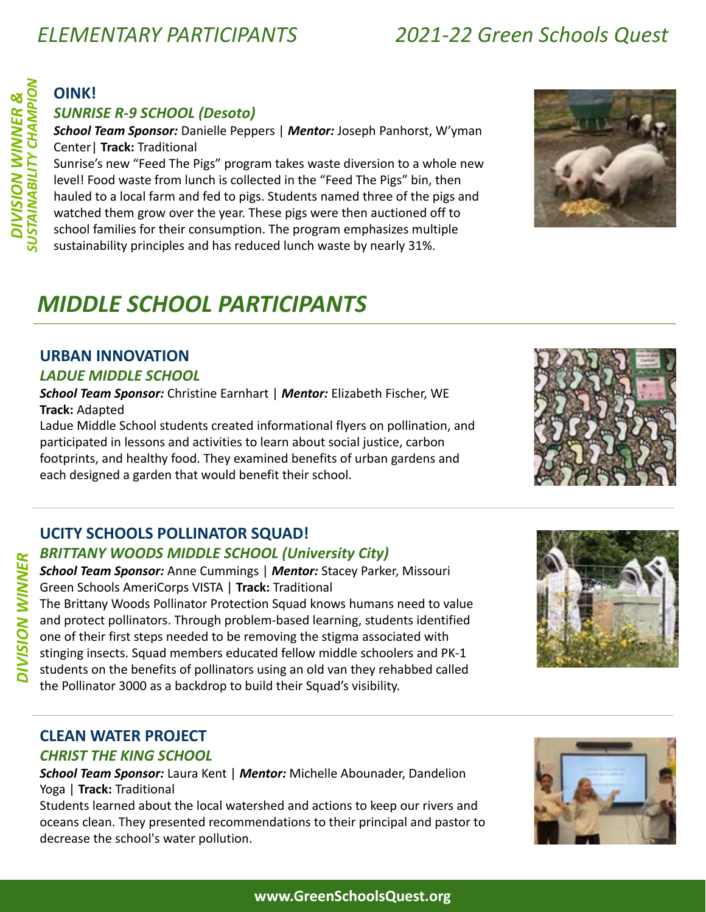# *ELEMENTARY PARTICIPANTS 2021-22 Green Schools Quest*

**DIVISION WINNER** 

# **OINK!**

#### *SUNRISE R-9 SCHOOL (Desoto)*

*School Team Sponsor:* Danielle Peppers | *Mentor:* Joseph Panhorst, W'yman Center| **Track:** Traditional

Sunrise's new "Feed The Pigs" program takes waste diversion to a whole new level! Food waste from lunch is collected in the "Feed The Pigs" bin, then hauled to a local farm and fed to pigs. Students named three of the pigs and watched them grow over the year. These pigs were then auctioned off to school families for their consumption. The program emphasizes multiple sustainability principles and has reduced lunch waste by nearly 31%.

# *MIDDLE SCHOOL PARTICIPANTS*

#### **URBAN INNOVATION**

#### *LADUE MIDDLE SCHOOL*

*School Team Sponsor:* Christine Earnhart | *Mentor:* Elizabeth Fischer, WE **Track:** Adapted

Ladue Middle School students created informational flyers on pollination, and participated in lessons and activities to learn about social justice, carbon footprints, and healthy food. They examined benefits of urban gardens and each designed a garden that would benefit their school.

#### **UCITY SCHOOLS POLLINATOR SQUAD!**

#### *BRITTANY WOODS MIDDLE SCHOOL (University City)*

*School Team Sponsor:* Anne Cummings | *Mentor:* Stacey Parker, Missouri Green Schools AmeriCorps VISTA | **Track:** Traditional The Brittany Woods Pollinator Protection Squad knows humans need to value

and protect pollinators. Through problem-based learning, students identified one of their first steps needed to be removing the stigma associated with stinging insects. Squad members educated fellow middle schoolers and PK-1 students on the benefits of pollinators using an old van they rehabbed called the Pollinator 3000 as a backdrop to build their Squad's visibility. *DIVISION WINNER*



# **CLEAN WATER PROJECT**

#### *CHRIST THE KING SCHOOL*

*School Team Sponsor:* Laura Kent | *Mentor:* Michelle Abounader, Dandelion Yoga | **Track:** Traditional

Students learned about the local watershed and actions to keep our rivers and oceans clean. They presented recommendations to their principal and pastor to decrease the school's water pollution.



#### **www.GreenSchoolsQuest.org**

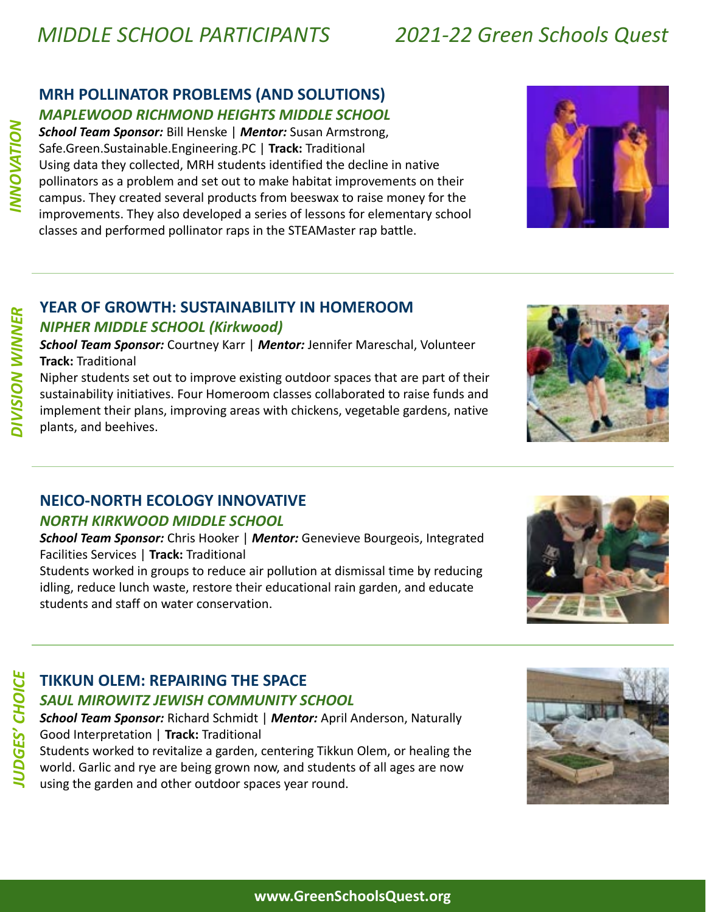#### **MRH POLLINATOR PROBLEMS (AND SOLUTIONS)** *MAPLEWOOD RICHMOND HEIGHTS MIDDLE SCHOOL*

*School Team Sponsor:* Bill Henske | *Mentor:* Susan Armstrong, Safe.Green.Sustainable.Engineering.PC | **Track:** Traditional Using data they collected, MRH students identified the decline in native pollinators as a problem and set out to make habitat improvements on their campus. They created several products from beeswax to raise money for the improvements. They also developed a series of lessons for elementary school classes and performed pollinator raps in the STEAMaster rap battle.



## **YEAR OF GROWTH: SUSTAINABILITY IN HOMEROOM**

#### *NIPHER MIDDLE SCHOOL (Kirkwood)*

*School Team Sponsor:* Courtney Karr | *Mentor:* Jennifer Mareschal, Volunteer **Track:** Traditional

Nipher students set out to improve existing outdoor spaces that are part of their sustainability initiatives. Four Homeroom classes collaborated to raise funds and implement their plans, improving areas with chickens, vegetable gardens, native plants, and beehives.



#### **NEICO-NORTH ECOLOGY INNOVATIVE**

#### *NORTH KIRKWOOD MIDDLE SCHOOL*

*School Team Sponsor:* Chris Hooker | *Mentor:* Genevieve Bourgeois, Integrated Facilities Services | **Track:** Traditional

Students worked in groups to reduce air pollution at dismissal time by reducing idling, reduce lunch waste, restore their educational rain garden, and educate students and staff on water conservation.



# *JUDGES' CHOICE*  **UDGES' CHOICE**

## **TIKKUN OLEM: REPAIRING THE SPACE**

#### *SAUL MIROWITZ JEWISH COMMUNITY SCHOOL*

*School Team Sponsor:* Richard Schmidt | *Mentor:* April Anderson, Naturally Good Interpretation | **Track:** Traditional

Students worked to revitalize a garden, centering Tikkun Olem, or healing the world. Garlic and rye are being grown now, and students of all ages are now using the garden and other outdoor spaces year round.



*INNOVATION*